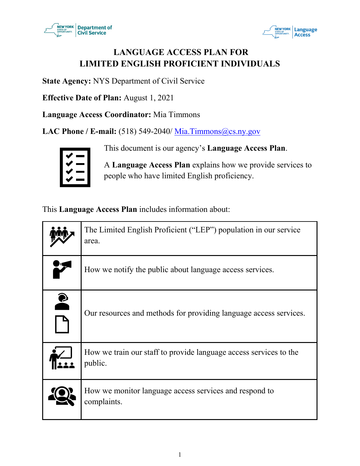



# **LANGUAGE ACCESS PLAN FOR LIMITED ENGLISH PROFICIENT INDIVIDUALS**

**State Agency:** NYS Department of Civil Service

**Effective Date of Plan:** August 1, 2021

**Language Access Coordinator:** Mia Timmons

**LAC Phone / E-mail:** (518) 549-2040/ Mia. Timmons@cs.ny.gov

This document is our agency's **Language Access Plan**.

A **Language Access Plan** explains how we provide services to people who have limited English proficiency.

This **Language Access Plan** includes information about:

|           | The Limited English Proficient ("LEP") population in our service<br>area.    |
|-----------|------------------------------------------------------------------------------|
|           | How we notify the public about language access services.                     |
| $\bullet$ | Our resources and methods for providing language access services.            |
|           | How we train our staff to provide language access services to the<br>public. |
|           | How we monitor language access services and respond to<br>complaints.        |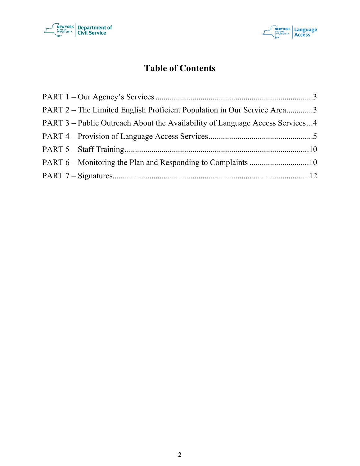



# **Table of Contents**

| PART 2 – The Limited English Proficient Population in Our Service Area3      |  |
|------------------------------------------------------------------------------|--|
| PART 3 – Public Outreach About the Availability of Language Access Services4 |  |
|                                                                              |  |
|                                                                              |  |
|                                                                              |  |
|                                                                              |  |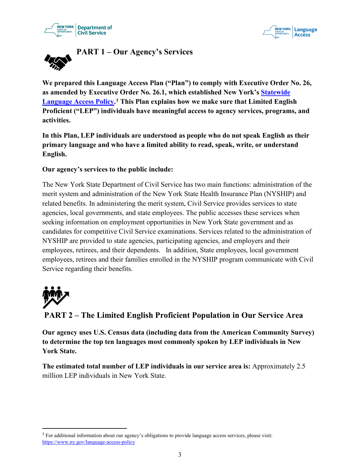



<span id="page-2-0"></span>

**We prepared this Language Access Plan ("Plan") to comply with Executive Order No. 26, as amended by Executive Order No. 26.1, which established New York's Statewide Language Access Policy. [1](#page-2-2) This Plan explains how we make sure that Limited English Proficient ("LEP") individuals have meaningful access to agency services, programs, and activities.**

**In this Plan, LEP individuals are understood as people who do not speak English as their primary language and who have a limited ability to read, speak, write, or understand English.** 

#### **Our agency's services to the public include:**

The New York State Department of Civil Service has two main functions: administration of the merit system and administration of the New York State Health Insurance Plan (NYSHIP) and related benefits. In administering the merit system, Civil Service provides services to state agencies, local governments, and state employees. The public accesses these services when seeking information on employment opportunities in New York State government and as candidates for competitive Civil Service examinations. Services related to the administration of NYSHIP are provided to state agencies, participating agencies, and employers and their employees, retirees, and their dependents. In addition, State employees, local government employees, retirees and their families enrolled in the NYSHIP program communicate with Civil Service regarding their benefits.



<span id="page-2-1"></span>**PART 2 – The Limited English Proficient Population in Our Service Area**

**Our agency uses U.S. Census data (including data from the American Community Survey) to determine the top ten languages most commonly spoken by LEP individuals in New York State.** 

**The estimated total number of LEP individuals in our service area is:** Approximately 2.5 million LEP individuals in New York State.

<span id="page-2-2"></span><sup>1</sup> For additional information about our agency's obligations to provide language access services, please visit: https://www.ny.gov/language-access-policy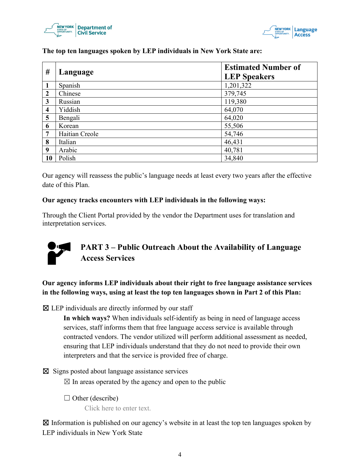



| #                       | Language       | <b>Estimated Number of</b><br><b>LEP Speakers</b> |
|-------------------------|----------------|---------------------------------------------------|
| $\mathbf{1}$            | Spanish        | 1,201,322                                         |
| $\overline{2}$          | Chinese        | 379,745                                           |
| 3                       | Russian        | 119,380                                           |
| $\overline{\mathbf{4}}$ | Yiddish        | 64,070                                            |
| 5                       | Bengali        | 64,020                                            |
| 6                       | Korean         | 55,506                                            |
| $\overline{7}$          | Haitian Creole | 54,746                                            |
| 8                       | Italian        | 46,431                                            |
| 9                       | Arabic         | 40,781                                            |
| 10                      | Polish         | 34,840                                            |

**The top ten languages spoken by LEP individuals in New York State are:**

Our agency will reassess the public's language needs at least every two years after the effective date of this Plan.

#### **Our agency tracks encounters with LEP individuals in the following ways:**

Through the Client Portal provided by the vendor the Department uses for translation and interpretation services.



# <span id="page-3-0"></span>**PART 3 – Public Outreach About the Availability of Language Access Services**

**Our agency informs LEP individuals about their right to free language assistance services in the following ways, using at least the top ten languages shown in Part 2 of this Plan:**

 $\boxtimes$  LEP individuals are directly informed by our staff

**In which ways?** When individuals self-identify as being in need of language access services, staff informs them that free language access service is available through contracted vendors. The vendor utilized will perform additional assessment as needed, ensuring that LEP individuals understand that they do not need to provide their own interpreters and that the service is provided free of charge.

☒ Signs posted about language assistance services  $\boxtimes$  In areas operated by the agency and open to the public

 $\Box$  Other (describe)

Click here to enter text.

 $\boxtimes$  Information is published on our agency's website in at least the top ten languages spoken by LEP individuals in New York State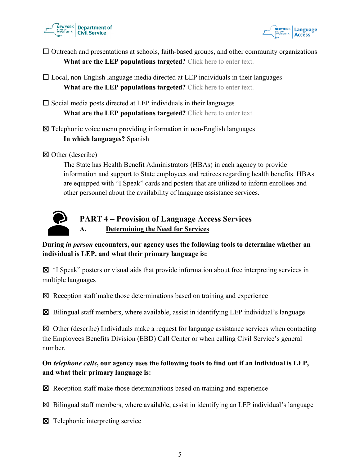



- ☐ Outreach and presentations at schools, faith-based groups, and other community organizations **What are the LEP populations targeted?** Click here to enter text.
- $\Box$  Local, non-English language media directed at LEP individuals in their languages **What are the LEP populations targeted?** Click here to enter text.
- $\square$  Social media posts directed at LEP individuals in their languages **What are the LEP populations targeted?** Click here to enter text.
- ☒ Telephonic voice menu providing information in non-English languages **In which languages?** Spanish
- ☒ Other (describe)

The State has Health Benefit Administrators (HBAs) in each agency to provide information and support to State employees and retirees regarding health benefits. HBAs are equipped with "I Speak" cards and posters that are utilized to inform enrollees and other personnel about the availability of language assistance services.



# <span id="page-4-0"></span>**PART 4 – Provision of Language Access Services A. Determining the Need for Services**

**During** *in person* **encounters, our agency uses the following tools to determine whether an individual is LEP, and what their primary language is:**

 $\boxtimes$  "I Speak" posters or visual aids that provide information about free interpreting services in multiple languages

 $\boxtimes$  Reception staff make those determinations based on training and experience

 $\boxtimes$  Bilingual staff members, where available, assist in identifying LEP individual's language

 $\boxtimes$  Other (describe) Individuals make a request for language assistance services when contacting the Employees Benefits Division (EBD) Call Center or when calling Civil Service's general number.

# **On** *telephone calls***, our agency uses the following tools to find out if an individual is LEP, and what their primary language is:**

 $\boxtimes$  Reception staff make those determinations based on training and experience

 $\boxtimes$  Bilingual staff members, where available, assist in identifying an LEP individual's language

☒ Telephonic interpreting service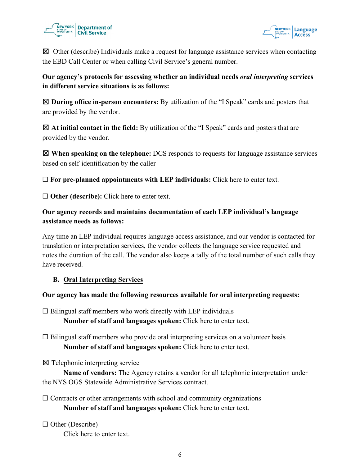



 $\boxtimes$  Other (describe) Individuals make a request for language assistance services when contacting the EBD Call Center or when calling Civil Service's general number.

# **Our agency's protocols for assessing whether an individual needs** *oral interpreting* **services in different service situations is as follows:**

☒ **During office in-person encounters:** By utilization of the "I Speak" cards and posters that are provided by the vendor.

☒ **At initial contact in the field:** By utilization of the "I Speak" cards and posters that are provided by the vendor.

☒ **When speaking on the telephone:** DCS responds to requests for language assistance services based on self-identification by the caller

☐ **For pre-planned appointments with LEP individuals:** Click here to enter text.

☐ **Other (describe):** Click here to enter text.

# **Our agency records and maintains documentation of each LEP individual's language assistance needs as follows:**

Any time an LEP individual requires language access assistance, and our vendor is contacted for translation or interpretation services, the vendor collects the language service requested and notes the duration of the call. The vendor also keeps a tally of the total number of such calls they have received.

# **B. Oral Interpreting Services**

#### **Our agency has made the following resources available for oral interpreting requests:**

 $\Box$  Bilingual staff members who work directly with LEP individuals **Number of staff and languages spoken:** Click here to enter text.

 $\Box$  Bilingual staff members who provide oral interpreting services on a volunteer basis **Number of staff and languages spoken:** Click here to enter text.

☒ Telephonic interpreting service

**Name of vendors:** The Agency retains a vendor for all telephonic interpretation under the NYS OGS Statewide Administrative Services contract.

 $\Box$  Contracts or other arrangements with school and community organizations **Number of staff and languages spoken:** Click here to enter text.

 $\Box$  Other (Describe)

Click here to enter text.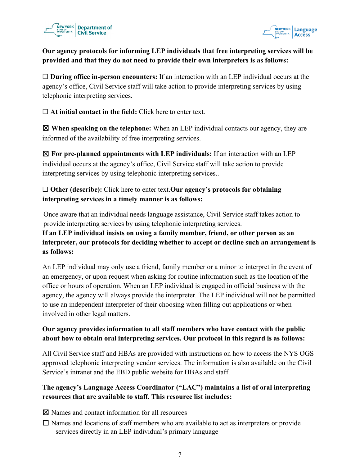



# **Our agency protocols for informing LEP individuals that free interpreting services will be provided and that they do not need to provide their own interpreters is as follows:**

□ **During office in-person encounters:** If an interaction with an LEP individual occurs at the agency's office, Civil Service staff will take action to provide interpreting services by using telephonic interpreting services.

☐ **At initial contact in the field:** Click here to enter text.

☒ **When speaking on the telephone:** When an LEP individual contacts our agency, they are informed of the availability of free interpreting services.

☒ **For pre-planned appointments with LEP individuals:** If an interaction with an LEP individual occurs at the agency's office, Civil Service staff will take action to provide interpreting services by using telephonic interpreting services..

# ☐ **Other (describe):** Click here to enter text.**Our agency's protocols for obtaining interpreting services in a timely manner is as follows:**

Once aware that an individual needs language assistance, Civil Service staff takes action to provide interpreting services by using telephonic interpreting services.

# **If an LEP individual insists on using a family member, friend, or other person as an interpreter, our protocols for deciding whether to accept or decline such an arrangement is as follows:**

An LEP individual may only use a friend, family member or a minor to interpret in the event of an emergency, or upon request when asking for routine information such as the location of the office or hours of operation. When an LEP individual is engaged in official business with the agency, the agency will always provide the interpreter. The LEP individual will not be permitted to use an independent interpreter of their choosing when filling out applications or when involved in other legal matters.

# **Our agency provides information to all staff members who have contact with the public about how to obtain oral interpreting services. Our protocol in this regard is as follows:**

All Civil Service staff and HBAs are provided with instructions on how to access the NYS OGS approved telephonic interpreting vendor services. The information is also available on the Civil Service's intranet and the EBD public website for HBAs and staff.

# **The agency's Language Access Coordinator ("LAC") maintains a list of oral interpreting resources that are available to staff. This resource list includes:**

☒ Names and contact information for all resources

☐ Names and locations of staff members who are available to act as interpreters or provide services directly in an LEP individual's primary language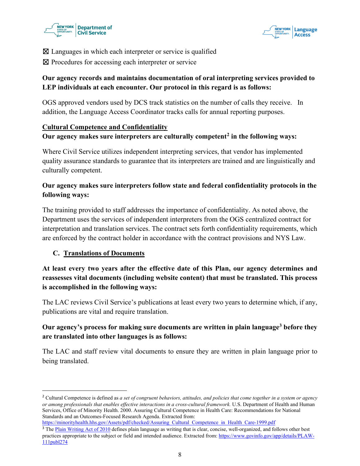



 $\boxtimes$  Languages in which each interpreter or service is qualified

⊠ Procedures for accessing each interpreter or service

# **Our agency records and maintains documentation of oral interpreting services provided to LEP individuals at each encounter. Our protocol in this regard is as follows:**

OGS approved vendors used by DCS track statistics on the number of calls they receive. In addition, the Language Access Coordinator tracks calls for annual reporting purposes.

#### **Cultural Competence and Confidentiality**

**Our agency makes sure interpreters are culturally competent[2](#page-7-0) in the following ways:**

Where Civil Service utilizes independent interpreting services, that vendor has implemented quality assurance standards to guarantee that its interpreters are trained and are linguistically and culturally competent.

## **Our agency makes sure interpreters follow state and federal confidentiality protocols in the following ways:**

The training provided to staff addresses the importance of confidentiality. As noted above, the Department uses the services of independent interpreters from the OGS centralized contract for interpretation and translation services. The contract sets forth confidentiality requirements, which are enforced by the contract holder in accordance with the contract provisions and NYS Law.

#### **C. Translations of Documents**

**At least every two years after the effective date of this Plan, our agency determines and reassesses vital documents (including website content) that must be translated. This process is accomplished in the following ways:**

The LAC reviews Civil Service's publications at least every two years to determine which, if any, publications are vital and require translation.

# **Our agency's process for making sure documents are written in plain languag[e3](#page-7-1) before they are translated into other languages is as follows:**

The LAC and staff review vital documents to ensure they are written in plain language prior to being translated.

<span id="page-7-1"></span>https://minorityhealth.hhs.gov/Assets/pdf/checked/Assuring\_Cultural\_Competence\_in\_Health\_Care-1999.pdf

<span id="page-7-0"></span><sup>2</sup> Cultural Competence is defined as *a set of congruent behaviors, attitudes, and policies that come together in a system or agency or among professionals that enables effective interactions in a cross-cultural framework.* U.S. Department of Health and Human Services, Office of Minority Health. 2000. Assuring Cultural Competence in Health Care: Recommendations for National Standards and an Outcomes-Focused Research Agenda. Extracted from:

<sup>&</sup>lt;sup>3</sup> The Plain Writing Act of 2010 defines plain language as writing that is clear, concise, well-organized, and follows other best practices appropriate to the subject or field and intended audience. Extracted from: https://www.govinfo.gov/app/details/PLAW-111publ274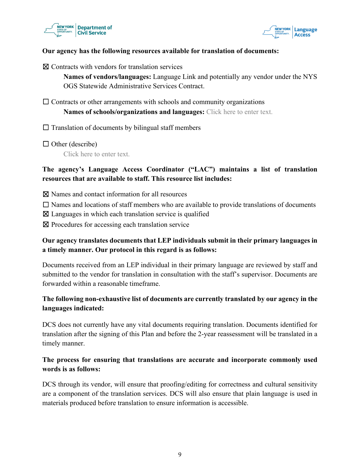



#### **Our agency has the following resources available for translation of documents:**

☒ Contracts with vendors for translation services

**Names of vendors/languages:** Language Link and potentially any vendor under the NYS OGS Statewide Administrative Services Contract.

 $\Box$  Contracts or other arrangements with schools and community organizations

**Names of schools/organizations and languages:** Click here to enter text.

 $\Box$  Translation of documents by bilingual staff members

 $\Box$  Other (describe)

Click here to enter text.

#### **The agency's Language Access Coordinator ("LAC") maintains a list of translation resources that are available to staff. This resource list includes:**

⊠ Names and contact information for all resources

 $\Box$  Names and locations of staff members who are available to provide translations of documents

 $\boxtimes$  Languages in which each translation service is qualified

☒ Procedures for accessing each translation service

#### **Our agency translates documents that LEP individuals submit in their primary languages in a timely manner. Our protocol in this regard is as follows:**

Documents received from an LEP individual in their primary language are reviewed by staff and submitted to the vendor for translation in consultation with the staff's supervisor. Documents are forwarded within a reasonable timeframe.

# **The following non-exhaustive list of documents are currently translated by our agency in the languages indicated:**

DCS does not currently have any vital documents requiring translation. Documents identified for translation after the signing of this Plan and before the 2-year reassessment will be translated in a timely manner.

#### **The process for ensuring that translations are accurate and incorporate commonly used words is as follows:**

DCS through its vendor, will ensure that proofing/editing for correctness and cultural sensitivity are a component of the translation services. DCS will also ensure that plain language is used in materials produced before translation to ensure information is accessible.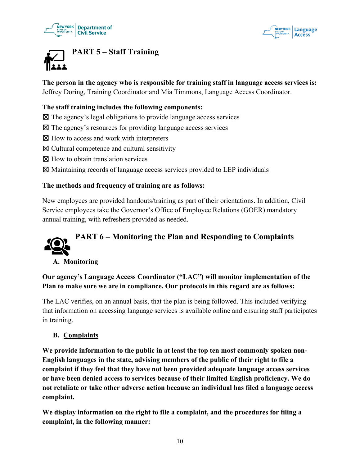



<span id="page-9-0"></span>

**The person in the agency who is responsible for training staff in language access services is:** Jeffrey Doring, Training Coordinator and Mia Timmons, Language Access Coordinator.

#### **The staff training includes the following components:**

- $\boxtimes$  The agency's legal obligations to provide language access services
- $\boxtimes$  The agency's resources for providing language access services
- ⊠ How to access and work with interpreters
- $\boxtimes$  Cultural competence and cultural sensitivity
- ⊠ How to obtain translation services
- ☒ Maintaining records of language access services provided to LEP individuals

#### **The methods and frequency of training are as follows:**

New employees are provided handouts/training as part of their orientations. In addition, Civil Service employees take the Governor's Office of Employee Relations (GOER) mandatory annual training, with refreshers provided as needed.

# **PART 6 – Monitoring the Plan and Responding to Complaints**

#### <span id="page-9-1"></span>**A. Monitoring**

**Our agency's Language Access Coordinator ("LAC") will monitor implementation of the Plan to make sure we are in compliance. Our protocols in this regard are as follows:**

The LAC verifies, on an annual basis, that the plan is being followed. This included verifying that information on accessing language services is available online and ensuring staff participates in training.

#### **B. Complaints**

**We provide information to the public in at least the top ten most commonly spoken non-English languages in the state, advising members of the public of their right to file a complaint if they feel that they have not been provided adequate language access services or have been denied access to services because of their limited English proficiency. We do not retaliate or take other adverse action because an individual has filed a language access complaint.** 

**We display information on the right to file a complaint, and the procedures for filing a complaint, in the following manner:**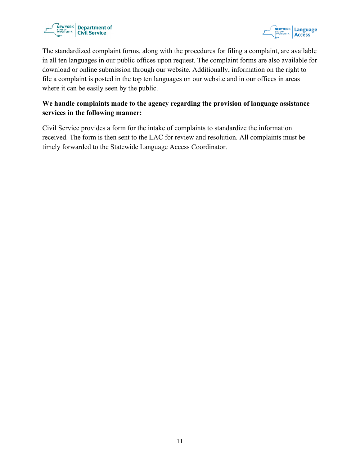

<span id="page-10-0"></span>

The standardized complaint forms, along with the procedures for filing a complaint, are available in all ten languages in our public offices upon request. The complaint forms are also available for download or online submission through our website. Additionally, information on the right to file a complaint is posted in the top ten languages on our website and in our offices in areas where it can be easily seen by the public.

## **We handle complaints made to the agency regarding the provision of language assistance services in the following manner:**

Civil Service provides a form for the intake of complaints to standardize the information received. The form is then sent to the LAC for review and resolution. All complaints must be timely forwarded to the Statewide Language Access Coordinator.